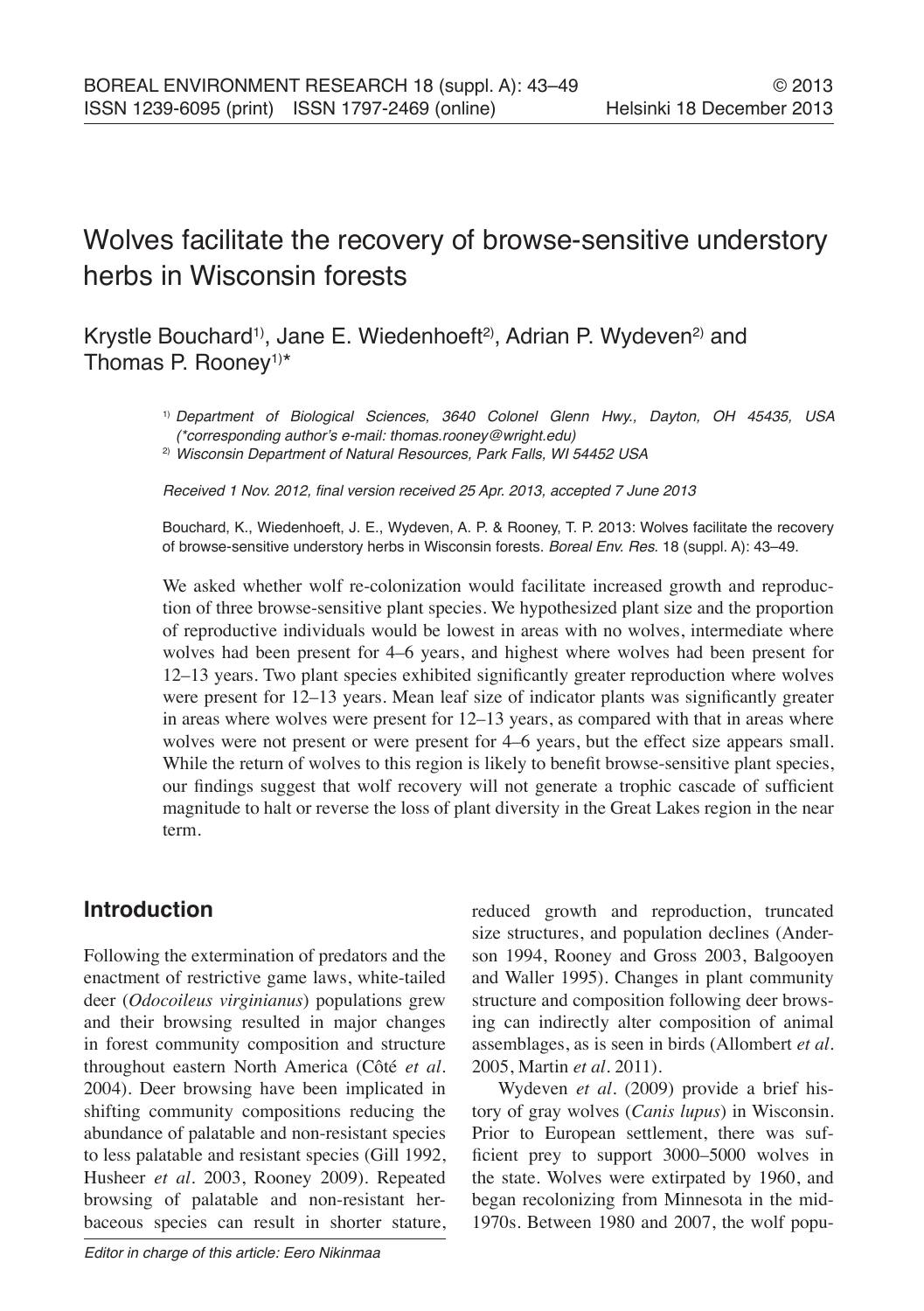# Wolves facilitate the recovery of browse-sensitive understory herbs in Wisconsin forests

# Krystle Bouchard<sup>1)</sup>, Jane E. Wiedenhoeft<sup>2)</sup>, Adrian P. Wydeven<sup>2)</sup> and Thomas P. Rooney<sup>1)\*</sup>

1) Department of Biological Sciences, 3640 Colonel Glenn Hwy., Dayton, OH 45435, USA (\*corresponding author's e-mail: thomas.rooney@wright.edu)

<sup>2)</sup> Wisconsin Department of Natural Resources, Park Falls, WI 54452 USA

Received 1 Nov. 2012, final version received 25 Apr. 2013, accepted 7 June 2013

Bouchard, K., Wiedenhoeft, J. E., Wydeven, A. P. & Rooney, T. P. 2013: Wolves facilitate the recovery of browse-sensitive understory herbs in Wisconsin forests. Boreal Env. Res. 18 (suppl. A): 43–49.

We asked whether wolf re-colonization would facilitate increased growth and reproduction of three browse-sensitive plant species. We hypothesized plant size and the proportion of reproductive individuals would be lowest in areas with no wolves, intermediate where wolves had been present for 4–6 years, and highest where wolves had been present for 12–13 years. Two plant species exhibited significantly greater reproduction where wolves were present for 12–13 years. Mean leaf size of indicator plants was significantly greater in areas where wolves were present for 12–13 years, as compared with that in areas where wolves were not present or were present for 4–6 years, but the effect size appears small. While the return of wolves to this region is likely to benefit browse-sensitive plant species, our findings suggest that wolf recovery will not generate a trophic cascade of sufficient magnitude to halt or reverse the loss of plant diversity in the Great Lakes region in the near term.

# **Introduction**

Following the extermination of predators and the enactment of restrictive game laws, white-tailed deer (*Odocoileus virginianus*) populations grew and their browsing resulted in major changes in forest community composition and structure throughout eastern North America (Côté *et al*. 2004). Deer browsing have been implicated in shifting community compositions reducing the abundance of palatable and non-resistant species to less palatable and resistant species (Gill 1992, Husheer *et al*. 2003, Rooney 2009). Repeated browsing of palatable and non-resistant herbaceous species can result in shorter stature, reduced growth and reproduction, truncated size structures, and population declines (Anderson 1994, Rooney and Gross 2003, Balgooyen and Waller 1995). Changes in plant community structure and composition following deer browsing can indirectly alter composition of animal assemblages, as is seen in birds (Allombert *et al*. 2005, Martin *et al*. 2011).

Wydeven *et al*. (2009) provide a brief history of gray wolves (*Canis lupus*) in Wisconsin. Prior to European settlement, there was sufficient prey to support 3000–5000 wolves in the state. Wolves were extirpated by 1960, and began recolonizing from Minnesota in the mid-1970s. Between 1980 and 2007, the wolf popu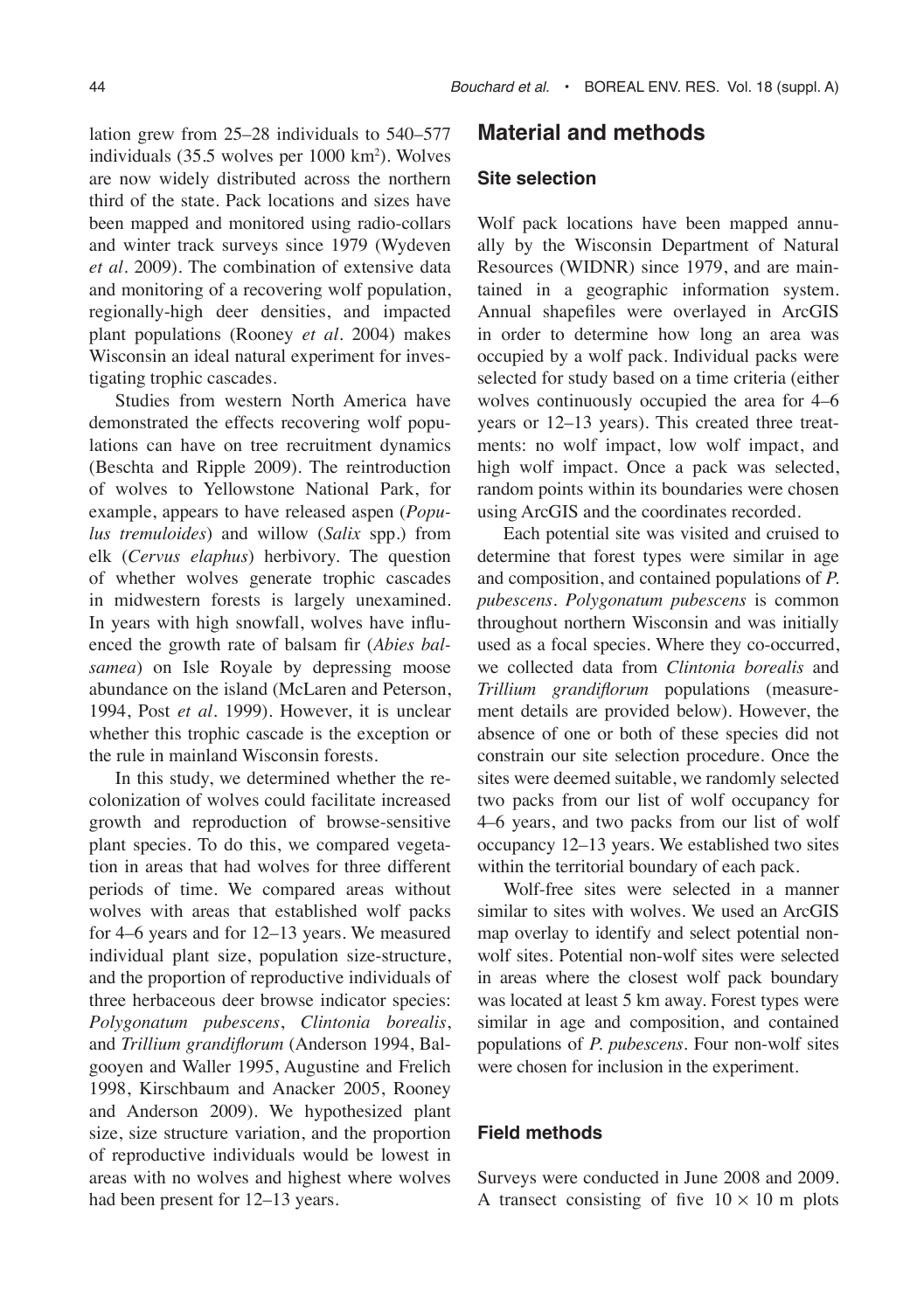lation grew from 25–28 individuals to 540–577 individuals (35.5 wolves per 1000 km2 ). Wolves are now widely distributed across the northern third of the state. Pack locations and sizes have been mapped and monitored using radio-collars and winter track surveys since 1979 (Wydeven *et al*. 2009). The combination of extensive data and monitoring of a recovering wolf population, regionally-high deer densities, and impacted plant populations (Rooney *et al*. 2004) makes Wisconsin an ideal natural experiment for investigating trophic cascades.

Studies from western North America have demonstrated the effects recovering wolf populations can have on tree recruitment dynamics (Beschta and Ripple 2009). The reintroduction of wolves to Yellowstone National Park, for example, appears to have released aspen (*Populus tremuloides*) and willow (*Salix* spp.) from elk (*Cervus elaphus*) herbivory. The question of whether wolves generate trophic cascades in midwestern forests is largely unexamined. In years with high snowfall, wolves have influenced the growth rate of balsam fir (*Abies balsamea*) on Isle Royale by depressing moose abundance on the island (McLaren and Peterson, 1994, Post *et al*. 1999). However, it is unclear whether this trophic cascade is the exception or the rule in mainland Wisconsin forests.

In this study, we determined whether the recolonization of wolves could facilitate increased growth and reproduction of browse-sensitive plant species. To do this, we compared vegetation in areas that had wolves for three different periods of time. We compared areas without wolves with areas that established wolf packs for 4–6 years and for 12–13 years. We measured individual plant size, population size-structure, and the proportion of reproductive individuals of three herbaceous deer browse indicator species: *Polygonatum pubescens*, *Clintonia borealis*, and *Trillium grandiflorum* (Anderson 1994, Balgooyen and Waller 1995, Augustine and Frelich 1998, Kirschbaum and Anacker 2005, Rooney and Anderson 2009). We hypothesized plant size, size structure variation, and the proportion of reproductive individuals would be lowest in areas with no wolves and highest where wolves had been present for 12–13 years.

#### 44 Bouchard et al. • BOREAL ENV. RES. Vol. 18 (suppl. A)

### **Material and methods**

#### **Site selection**

Wolf pack locations have been mapped annually by the Wisconsin Department of Natural Resources (WIDNR) since 1979, and are maintained in a geographic information system. Annual shapefiles were overlayed in ArcGIS in order to determine how long an area was occupied by a wolf pack. Individual packs were selected for study based on a time criteria (either wolves continuously occupied the area for 4–6 years or 12–13 years). This created three treatments: no wolf impact, low wolf impact, and high wolf impact. Once a pack was selected, random points within its boundaries were chosen using ArcGIS and the coordinates recorded.

Each potential site was visited and cruised to determine that forest types were similar in age and composition, and contained populations of *P. pubescens*. *Polygonatum pubescens* is common throughout northern Wisconsin and was initially used as a focal species. Where they co-occurred, we collected data from *Clintonia borealis* and *Trillium grandiflorum* populations (measurement details are provided below). However, the absence of one or both of these species did not constrain our site selection procedure. Once the sites were deemed suitable, we randomly selected two packs from our list of wolf occupancy for 4–6 years, and two packs from our list of wolf occupancy 12–13 years. We established two sites within the territorial boundary of each pack.

Wolf-free sites were selected in a manner similar to sites with wolves. We used an ArcGIS map overlay to identify and select potential nonwolf sites. Potential non-wolf sites were selected in areas where the closest wolf pack boundary was located at least 5 km away. Forest types were similar in age and composition, and contained populations of *P. pubescens*. Four non-wolf sites were chosen for inclusion in the experiment.

#### **Field methods**

Surveys were conducted in June 2008 and 2009. A transect consisting of five  $10 \times 10$  m plots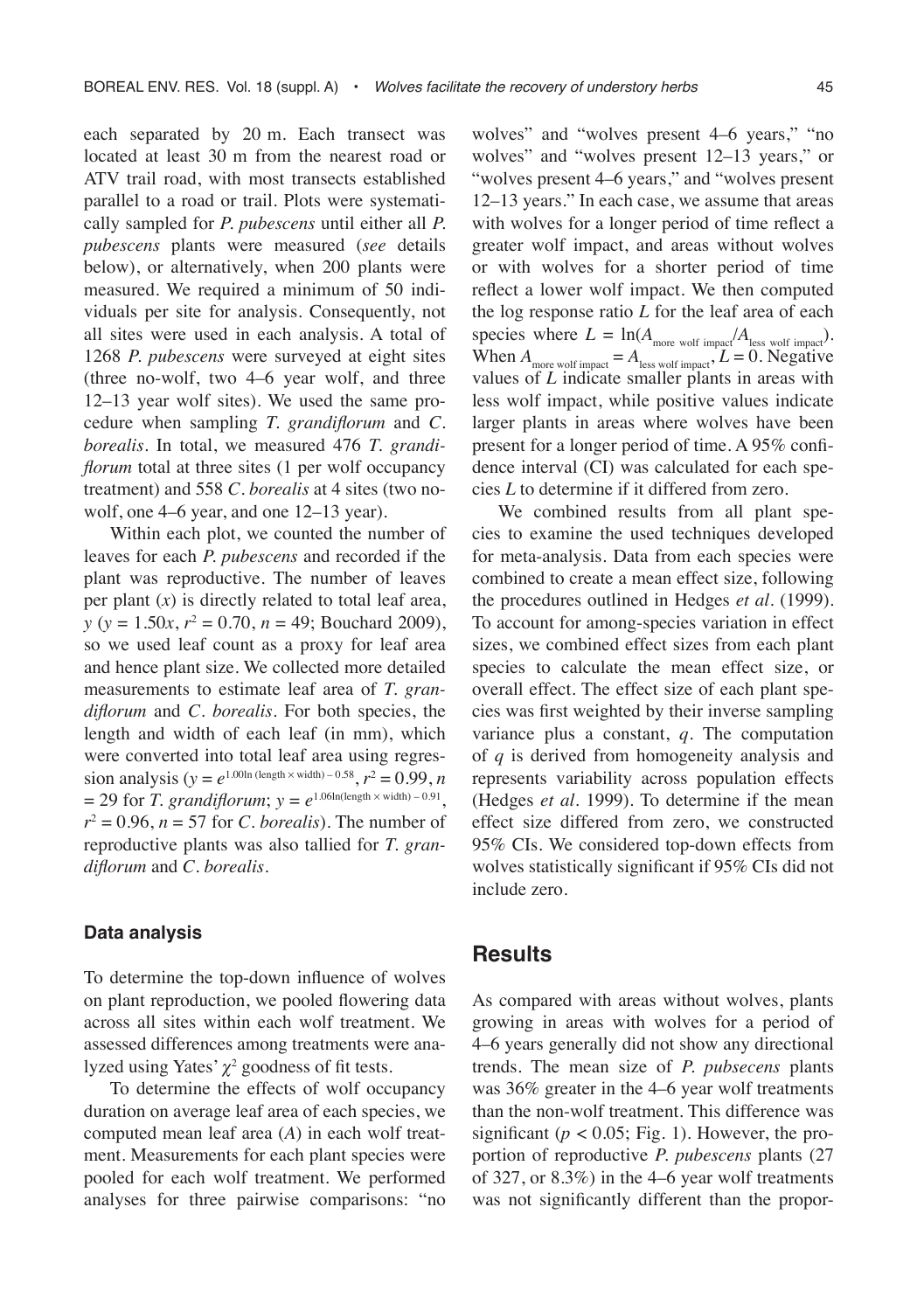each separated by 20 m. Each transect was located at least 30 m from the nearest road or ATV trail road, with most transects established parallel to a road or trail. Plots were systematically sampled for *P. pubescens* until either all *P. pubescens* plants were measured (*see* details below), or alternatively, when 200 plants were measured. We required a minimum of 50 individuals per site for analysis. Consequently, not all sites were used in each analysis. A total of 1268 *P. pubescens* were surveyed at eight sites (three no-wolf, two 4–6 year wolf, and three 12–13 year wolf sites). We used the same procedure when sampling *T. grandiflorum* and *C. borealis*. In total, we measured 476 *T. grandiflorum* total at three sites (1 per wolf occupancy treatment) and 558 *C. borealis* at 4 sites (two nowolf, one 4–6 year, and one 12–13 year).

Within each plot, we counted the number of leaves for each *P. pubescens* and recorded if the plant was reproductive. The number of leaves per plant (*x*) is directly related to total leaf area, *y* (*y* = 1.50*x*, *r*<sup>2</sup> = 0.70, *n* = 49; Bouchard 2009), so we used leaf count as a proxy for leaf area and hence plant size. We collected more detailed measurements to estimate leaf area of *T. grandiflorum* and *C. borealis*. For both species, the length and width of each leaf (in mm), which were converted into total leaf area using regression analysis ( $y = e^{1.00 \ln{(\text{length} \times \text{width})} - 0.58}, r^2 = 0.99, n$  $= 29$  for *T. grandiflorum*;  $y = e^{1.06 \ln(\text{length} \times \text{width}) - 0.91}$ ,  $r^2 = 0.96$ ,  $n = 57$  for *C. borealis*). The number of reproductive plants was also tallied for *T. grandiflorum* and *C. borealis*.

#### **Data analysis**

To determine the top-down influence of wolves on plant reproduction, we pooled flowering data across all sites within each wolf treatment. We assessed differences among treatments were analyzed using Yates' *χ*<sup>2</sup> goodness of fit tests.

To determine the effects of wolf occupancy duration on average leaf area of each species, we computed mean leaf area (*A*) in each wolf treatment. Measurements for each plant species were pooled for each wolf treatment. We performed analyses for three pairwise comparisons: "no

wolves" and "wolves present 4–6 years," "no wolves" and "wolves present 12–13 years," or "wolves present 4–6 years," and "wolves present 12–13 years." In each case, we assume that areas with wolves for a longer period of time reflect a greater wolf impact, and areas without wolves or with wolves for a shorter period of time reflect a lower wolf impact. We then computed the log response ratio *L* for the leaf area of each species where  $L = \ln(A_{\text{more work impact}}/A_{\text{less work impact}})$ . When  $A_{\text{more wolf impact}} = A_{\text{less wolf impact}}$ ,  $L = 0$ . Negative values of *L* indicate smaller plants in areas with less wolf impact, while positive values indicate larger plants in areas where wolves have been present for a longer period of time. A 95% confidence interval (CI) was calculated for each species *L* to determine if it differed from zero.

We combined results from all plant species to examine the used techniques developed for meta-analysis. Data from each species were combined to create a mean effect size, following the procedures outlined in Hedges *et al*. (1999). To account for among-species variation in effect sizes, we combined effect sizes from each plant species to calculate the mean effect size, or overall effect. The effect size of each plant species was first weighted by their inverse sampling variance plus a constant, *q*. The computation of *q* is derived from homogeneity analysis and represents variability across population effects (Hedges *et al*. 1999). To determine if the mean effect size differed from zero, we constructed 95% CIs. We considered top-down effects from wolves statistically significant if 95% CIs did not include zero.

### **Results**

As compared with areas without wolves, plants growing in areas with wolves for a period of 4–6 years generally did not show any directional trends. The mean size of *P. pubsecens* plants was 36% greater in the 4–6 year wolf treatments than the non-wolf treatment. This difference was significant ( $p < 0.05$ ; Fig. 1). However, the proportion of reproductive *P. pubescens* plants (27 of 327, or 8.3%) in the 4–6 year wolf treatments was not significantly different than the propor-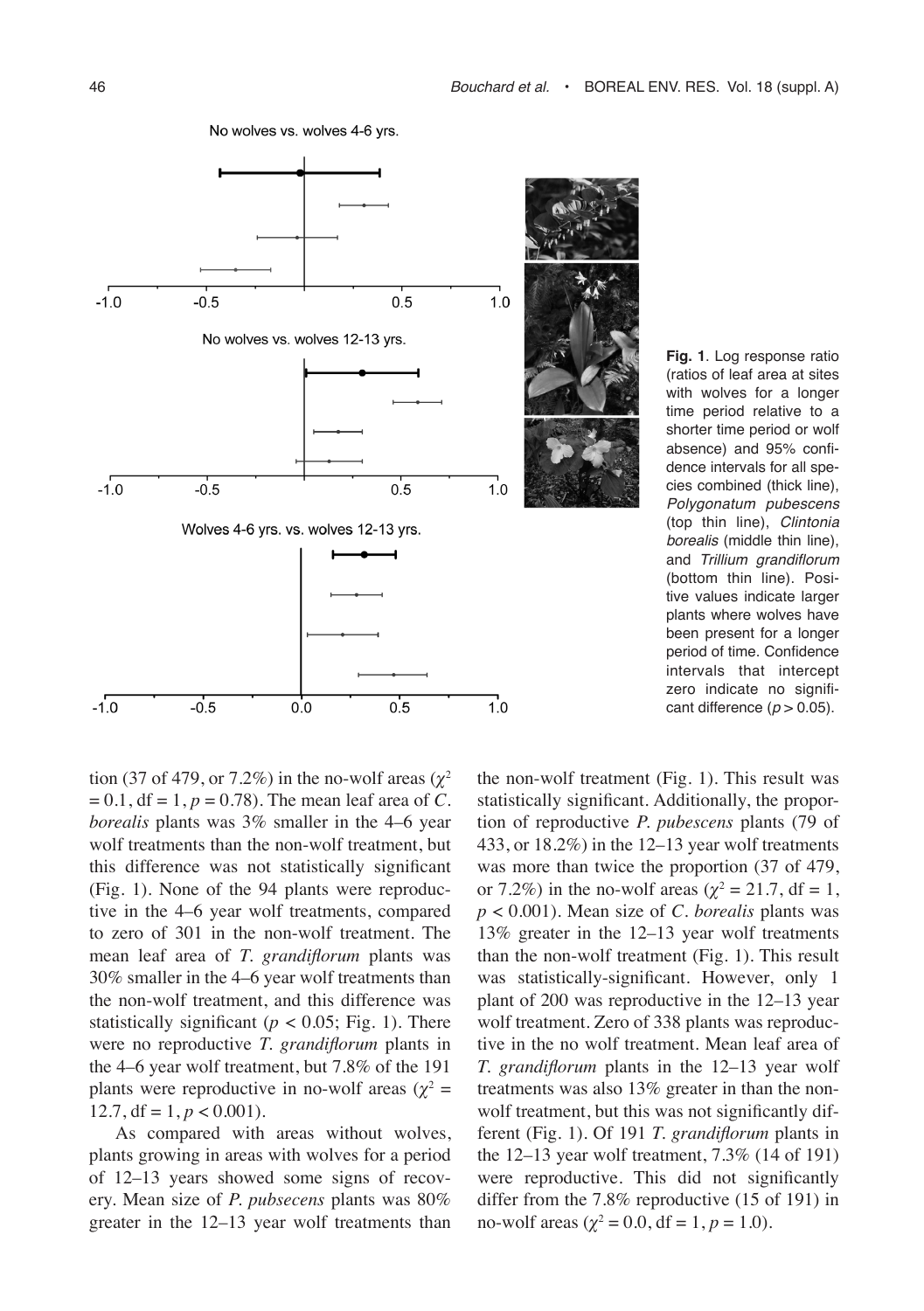

No wolves vs. wolves 4-6 yrs.



tion (37 of 479, or 7.2%) in the no-wolf areas ( $\chi^2$  $= 0.1$ , df  $= 1$ ,  $p = 0.78$ ). The mean leaf area of *C*. *borealis* plants was 3% smaller in the 4–6 year wolf treatments than the non-wolf treatment, but this difference was not statistically significant (Fig. 1). None of the 94 plants were reproductive in the 4–6 year wolf treatments, compared to zero of 301 in the non-wolf treatment. The mean leaf area of *T. grandiflorum* plants was 30% smaller in the 4–6 year wolf treatments than the non-wolf treatment, and this difference was statistically significant ( $p < 0.05$ ; Fig. 1). There were no reproductive *T. grandiflorum* plants in the 4–6 year wolf treatment, but 7.8% of the 191 plants were reproductive in no-wolf areas  $(\chi^2 =$ 12.7, df =  $1, p < 0.001$ ).

As compared with areas without wolves, plants growing in areas with wolves for a period of 12–13 years showed some signs of recovery. Mean size of *P. pubsecens* plants was 80% greater in the 12–13 year wolf treatments than the non-wolf treatment (Fig. 1). This result was statistically significant. Additionally, the proportion of reproductive *P. pubescens* plants (79 of 433, or 18.2%) in the 12–13 year wolf treatments was more than twice the proportion (37 of 479, or 7.2%) in the no-wolf areas ( $\chi^2 = 21.7$ , df = 1, *p* < 0.001). Mean size of *C. borealis* plants was 13% greater in the 12–13 year wolf treatments than the non-wolf treatment (Fig. 1). This result was statistically-significant. However, only 1 plant of 200 was reproductive in the 12–13 year wolf treatment. Zero of 338 plants was reproductive in the no wolf treatment. Mean leaf area of *T. grandiflorum* plants in the 12–13 year wolf treatments was also 13% greater in than the nonwolf treatment, but this was not significantly different (Fig. 1). Of 191 *T. grandiflorum* plants in the 12–13 year wolf treatment, 7.3% (14 of 191) were reproductive. This did not significantly differ from the 7.8% reproductive (15 of 191) in no-wolf areas ( $\chi^2 = 0.0$ , df = 1,  $p = 1.0$ ).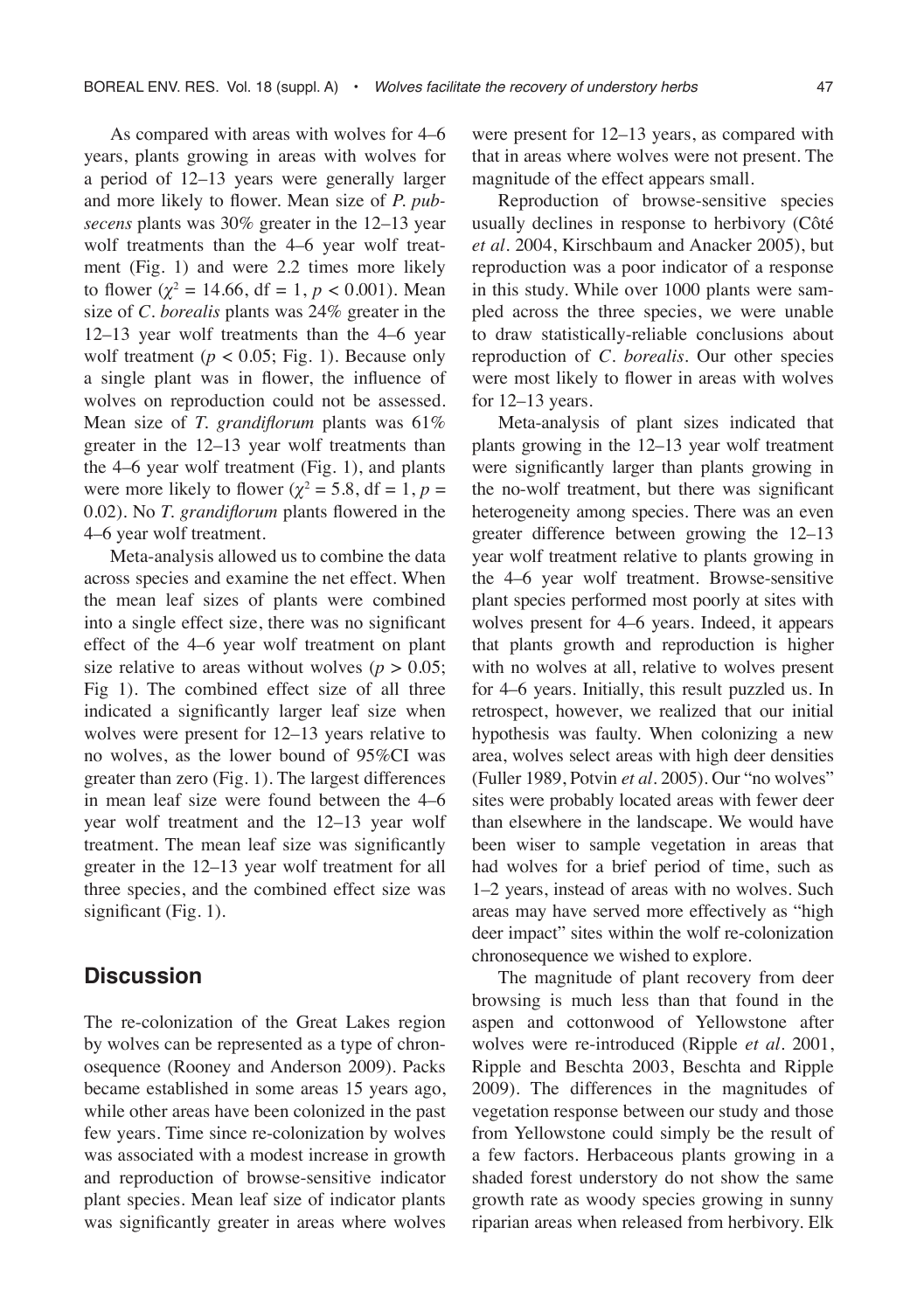As compared with areas with wolves for 4–6 years, plants growing in areas with wolves for a period of 12–13 years were generally larger and more likely to flower. Mean size of *P. pubsecens* plants was 30% greater in the 12–13 year wolf treatments than the 4–6 year wolf treatment (Fig. 1) and were 2.2 times more likely to flower ( $\chi^2 = 14.66$ , df = 1,  $p < 0.001$ ). Mean size of *C. borealis* plants was 24% greater in the 12–13 year wolf treatments than the 4–6 year wolf treatment ( $p < 0.05$ ; Fig. 1). Because only a single plant was in flower, the influence of wolves on reproduction could not be assessed. Mean size of *T. grandiflorum* plants was 61% greater in the 12–13 year wolf treatments than the 4–6 year wolf treatment (Fig. 1), and plants were more likely to flower ( $\chi^2 = 5.8$ , df = 1, p = 0.02). No *T. grandiflorum* plants flowered in the 4–6 year wolf treatment.

Meta-analysis allowed us to combine the data across species and examine the net effect. When the mean leaf sizes of plants were combined into a single effect size, there was no significant effect of the 4–6 year wolf treatment on plant size relative to areas without wolves ( $p > 0.05$ ; Fig 1). The combined effect size of all three indicated a significantly larger leaf size when wolves were present for 12–13 years relative to no wolves, as the lower bound of 95%CI was greater than zero (Fig. 1). The largest differences in mean leaf size were found between the 4–6 year wolf treatment and the 12–13 year wolf treatment. The mean leaf size was significantly greater in the 12–13 year wolf treatment for all three species, and the combined effect size was significant (Fig. 1).

# **Discussion**

The re-colonization of the Great Lakes region by wolves can be represented as a type of chronosequence (Rooney and Anderson 2009). Packs became established in some areas 15 years ago, while other areas have been colonized in the past few years. Time since re-colonization by wolves was associated with a modest increase in growth and reproduction of browse-sensitive indicator plant species. Mean leaf size of indicator plants was significantly greater in areas where wolves were present for 12–13 years, as compared with that in areas where wolves were not present. The magnitude of the effect appears small.

Reproduction of browse-sensitive species usually declines in response to herbivory (Côté *et al*. 2004, Kirschbaum and Anacker 2005), but reproduction was a poor indicator of a response in this study. While over 1000 plants were sampled across the three species, we were unable to draw statistically-reliable conclusions about reproduction of *C. borealis*. Our other species were most likely to flower in areas with wolves for 12–13 years.

Meta-analysis of plant sizes indicated that plants growing in the 12–13 year wolf treatment were significantly larger than plants growing in the no-wolf treatment, but there was significant heterogeneity among species. There was an even greater difference between growing the 12–13 year wolf treatment relative to plants growing in the 4–6 year wolf treatment. Browse-sensitive plant species performed most poorly at sites with wolves present for 4–6 years. Indeed, it appears that plants growth and reproduction is higher with no wolves at all, relative to wolves present for 4–6 years. Initially, this result puzzled us. In retrospect, however, we realized that our initial hypothesis was faulty. When colonizing a new area, wolves select areas with high deer densities (Fuller 1989, Potvin *et al*. 2005). Our "no wolves" sites were probably located areas with fewer deer than elsewhere in the landscape. We would have been wiser to sample vegetation in areas that had wolves for a brief period of time, such as 1–2 years, instead of areas with no wolves. Such areas may have served more effectively as "high deer impact" sites within the wolf re-colonization chronosequence we wished to explore.

The magnitude of plant recovery from deer browsing is much less than that found in the aspen and cottonwood of Yellowstone after wolves were re-introduced (Ripple *et al*. 2001, Ripple and Beschta 2003, Beschta and Ripple 2009). The differences in the magnitudes of vegetation response between our study and those from Yellowstone could simply be the result of a few factors. Herbaceous plants growing in a shaded forest understory do not show the same growth rate as woody species growing in sunny riparian areas when released from herbivory. Elk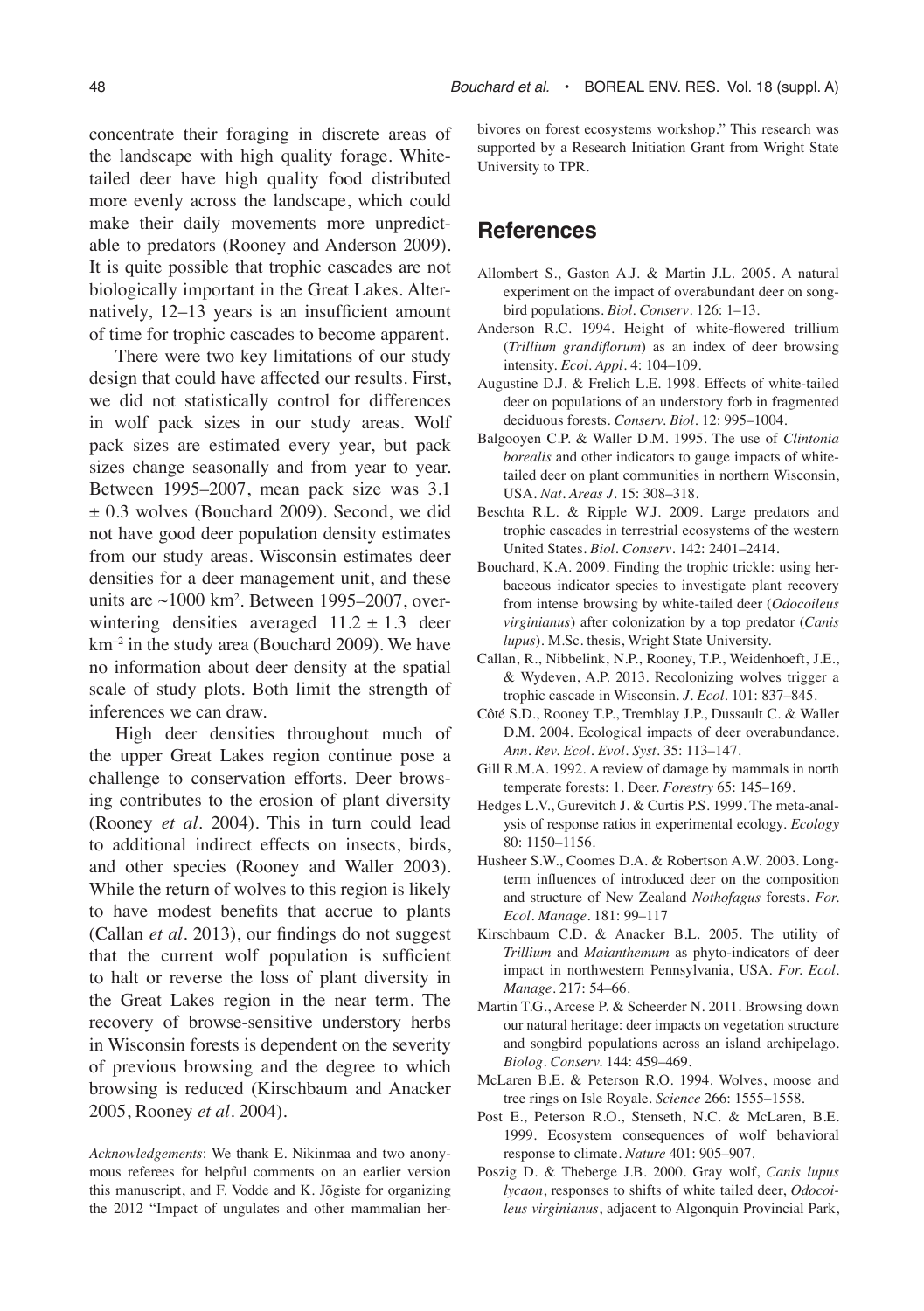concentrate their foraging in discrete areas of the landscape with high quality forage. Whitetailed deer have high quality food distributed more evenly across the landscape, which could make their daily movements more unpredictable to predators (Rooney and Anderson 2009). It is quite possible that trophic cascades are not biologically important in the Great Lakes. Alternatively, 12–13 years is an insufficient amount of time for trophic cascades to become apparent.

There were two key limitations of our study design that could have affected our results. First, we did not statistically control for differences in wolf pack sizes in our study areas. Wolf pack sizes are estimated every year, but pack sizes change seasonally and from year to year. Between 1995–2007, mean pack size was 3.1 ± 0.3 wolves (Bouchard 2009). Second, we did not have good deer population density estimates from our study areas. Wisconsin estimates deer densities for a deer management unit, and these units are ~1000 km2 . Between 1995–2007, overwintering densities averaged  $11.2 \pm 1.3$  deer  $km<sup>-2</sup>$  in the study area (Bouchard 2009). We have no information about deer density at the spatial scale of study plots. Both limit the strength of inferences we can draw.

High deer densities throughout much of the upper Great Lakes region continue pose a challenge to conservation efforts. Deer browsing contributes to the erosion of plant diversity (Rooney *et al*. 2004). This in turn could lead to additional indirect effects on insects, birds, and other species (Rooney and Waller 2003). While the return of wolves to this region is likely to have modest benefits that accrue to plants (Callan *et al*. 2013), our findings do not suggest that the current wolf population is sufficient to halt or reverse the loss of plant diversity in the Great Lakes region in the near term. The recovery of browse-sensitive understory herbs in Wisconsin forests is dependent on the severity of previous browsing and the degree to which browsing is reduced (Kirschbaum and Anacker 2005, Rooney *et al*. 2004).

*Acknowledgements*: We thank E. Nikinmaa and two anonymous referees for helpful comments on an earlier version this manuscript, and F. Vodde and K. Jõgiste for organizing the 2012 "Impact of ungulates and other mammalian herbivores on forest ecosystems workshop." This research was supported by a Research Initiation Grant from Wright State University to TPR.

# **References**

- Allombert S., Gaston A.J. & Martin J.L. 2005. A natural experiment on the impact of overabundant deer on songbird populations. *Biol. Conserv*. 126: 1–13.
- Anderson R.C. 1994. Height of white-flowered trillium (*Trillium grandiflorum*) as an index of deer browsing intensity. *Ecol. Appl.* 4: 104–109.
- Augustine D.J. & Frelich L.E. 1998. Effects of white-tailed deer on populations of an understory forb in fragmented deciduous forests. *Conserv. Biol.* 12: 995–1004.
- Balgooyen C.P. & Waller D.M. 1995. The use of *Clintonia borealis* and other indicators to gauge impacts of whitetailed deer on plant communities in northern Wisconsin, USA. *Nat. Areas J.* 15: 308–318.
- Beschta R.L. & Ripple W.J. 2009. Large predators and trophic cascades in terrestrial ecosystems of the western United States. *Biol. Conserv*. 142: 2401–2414.
- Bouchard, K.A. 2009. Finding the trophic trickle: using herbaceous indicator species to investigate plant recovery from intense browsing by white-tailed deer (*Odocoileus virginianus*) after colonization by a top predator (*Canis lupus*). M.Sc. thesis, Wright State University.
- Callan, R., Nibbelink, N.P., Rooney, T.P., Weidenhoeft, J.E., & Wydeven, A.P. 2013. Recolonizing wolves trigger a trophic cascade in Wisconsin. *J. Ecol*. 101: 837–845.
- Côté S.D., Rooney T.P., Tremblay J.P., Dussault C. & Waller D.M. 2004. Ecological impacts of deer overabundance. *Ann. Rev. Ecol. Evol. Syst.* 35: 113–147.
- Gill R.M.A. 1992. A review of damage by mammals in north temperate forests: 1. Deer. *Forestry* 65: 145–169.
- Hedges L.V., Gurevitch J. & Curtis P.S. 1999. The meta-analysis of response ratios in experimental ecology. *Ecology* 80: 1150–1156.
- Husheer S.W., Coomes D.A. & Robertson A.W. 2003. Longterm influences of introduced deer on the composition and structure of New Zealand *Nothofagus* forests. *For. Ecol. Manage.* 181: 99–117
- Kirschbaum C.D. & Anacker B.L. 2005. The utility of *Trillium* and *Maianthemum* as phyto-indicators of deer impact in northwestern Pennsylvania, USA. *For. Ecol. Manage*. 217: 54–66.
- Martin T.G., Arcese P. & Scheerder N. 2011. Browsing down our natural heritage: deer impacts on vegetation structure and songbird populations across an island archipelago. *Biolog. Conserv.* 144: 459–469.
- McLaren B.E. & Peterson R.O. 1994. Wolves, moose and tree rings on Isle Royale. *Science* 266: 1555–1558.
- Post E., Peterson R.O., Stenseth, N.C. & McLaren, B.E. 1999. Ecosystem consequences of wolf behavioral response to climate. *Nature* 401: 905–907.
- Poszig D. & Theberge J.B. 2000. Gray wolf, *Canis lupus lycaon*, responses to shifts of white tailed deer, *Odocoileus virginianus*, adjacent to Algonquin Provincial Park,